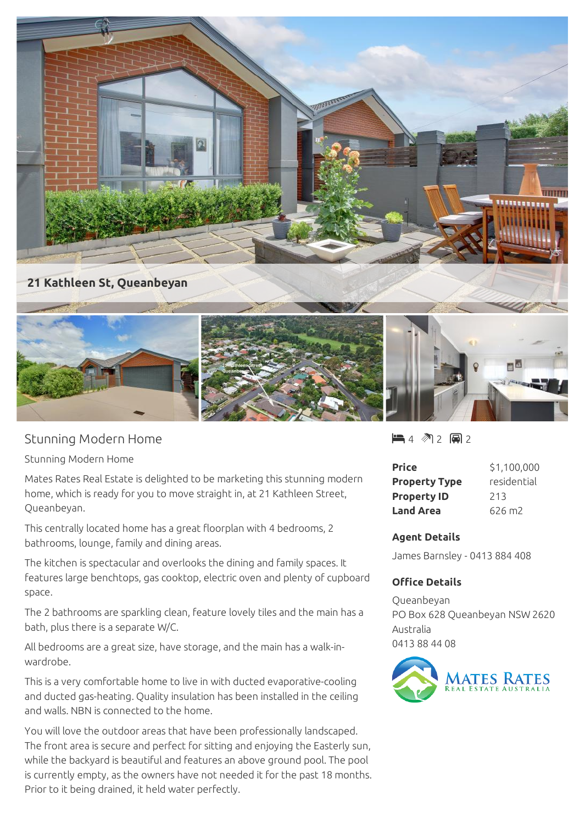

## **21 Kathleen St, Queanbeyan**



Stunning Modern Home

Stunning Modern Home

Mates Rates Real Estate is delighted to be marketing this stunning modern home, which is ready for you to move straight in, at 21 Kathleen Street, Queanbeyan.

This centrally located home has a great floorplan with 4 bedrooms, 2 bathrooms, lounge, family and dining areas.

The kitchen is spectacular and overlooks the dining and family spaces. It features large benchtops, gas cooktop, electric oven and plenty of cupboard space.

The 2 bathrooms are sparkling clean, feature lovely tiles and the main has a bath, plus there is a separate W/C.

All bedrooms are a great size, have storage, and the main has a walk-inwardrobe.

This is a very comfortable home to live in with ducted evaporative-cooling and ducted gas-heating. Quality insulation has been installed in the ceiling and walls. NBN is connected to the home.

You will love the outdoor areas that have been professionally landscaped. The front area is secure and perfect for sitting and enjoying the Easterly sun, while the backyard is beautiful and features an above ground pool. The pool is currently empty, as the owners have not needed it for the past 18 months. Prior to it being drained, it held water perfectly.

 $4 \,$  (4 2 国 2

| <b>Price</b>         | \$1,100,000 |
|----------------------|-------------|
| <b>Property Type</b> | residential |
| <b>Property ID</b>   | 213         |
| <b>Land Area</b>     | 626 m2      |

## **Agent Details**

James Barnsley - 0413 884 408

## **Office Details**

Queanbeyan PO Box 628 Queanbeyan NSW 2620 Australia 0413 88 44 08